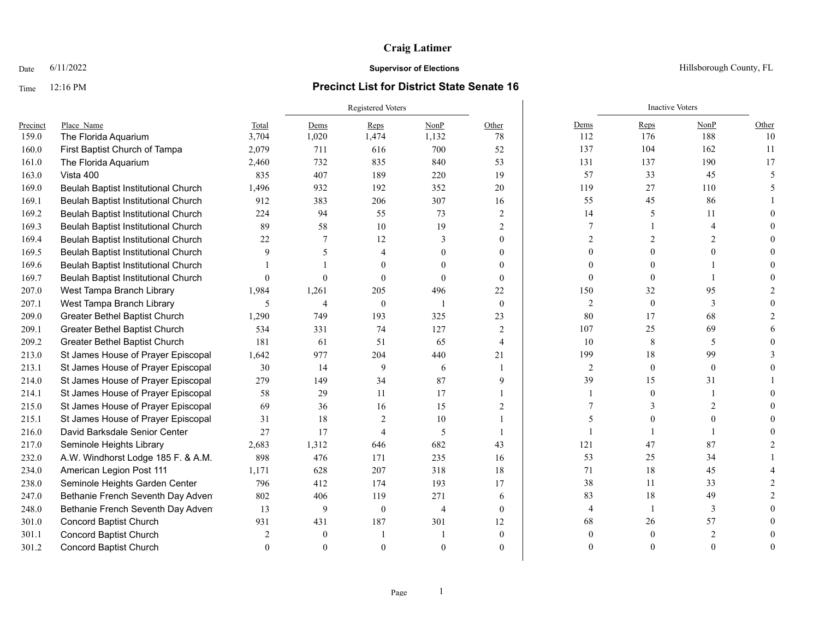### Time 12:16 PM **Precinct List for District State Senate 16**

|          |                                      |          | Registered Voters        |                |                |                |                | <b>Inactive Voters</b> |               |       |
|----------|--------------------------------------|----------|--------------------------|----------------|----------------|----------------|----------------|------------------------|---------------|-------|
| Precinct | Place Name                           | Total    | Dems                     | Reps           | NonP           | Other          | Dems           | Reps                   | NonP          | Other |
| 159.0    | The Florida Aquarium                 | 3,704    | 1,020                    | 1,474          | 1,132          | 78             | 112            | 176                    | 188           | 10    |
| 160.0    | First Baptist Church of Tampa        | 2,079    | 711                      | 616            | 700            | 52             | 137            | 104                    | 162           | 11    |
| 161.0    | The Florida Aquarium                 | 2,460    | 732                      | 835            | 840            | 53             | 131            | 137                    | 190           | 17    |
| 163.0    | Vista 400                            | 835      | 407                      | 189            | 220            | 19             | 57             | 33                     | 45            |       |
| 169.0    | Beulah Baptist Institutional Church  | 1,496    | 932                      | 192            | 352            | 20             | 119            | 27                     | 110           |       |
| 169.1    | Beulah Baptist Institutional Church  | 912      | 383                      | 206            | 307            | 16             | 55             | 45                     | 86            |       |
| 169.2    | Beulah Baptist Institutional Church  | 224      | 94                       | 55             | 73             | $\overline{2}$ | 14             | 5                      | 11            |       |
| 169.3    | Beulah Baptist Institutional Church  | 89       | 58                       | 10             | 19             | $\overline{c}$ | 7              |                        |               |       |
| 169.4    | Beulah Baptist Institutional Church  | 22       | 7                        | 12             | 3              | $\theta$       | 2              |                        |               |       |
| 169.5    | Beulah Baptist Institutional Church  | 9        | $\overline{\phantom{0}}$ | 4              |                | 0              |                |                        |               |       |
| 169.6    | Beulah Baptist Institutional Church  |          |                          |                | $\theta$       | $\theta$       |                |                        |               |       |
| 169.7    | Beulah Baptist Institutional Church  | $\theta$ | $\Omega$                 | $\Omega$       | $\Omega$       | $\theta$       | $\Omega$       |                        |               |       |
| 207.0    | West Tampa Branch Library            | 1,984    | 1,261                    | 205            | 496            | 22             | 150            | 32                     | 95            |       |
| 207.1    | West Tampa Branch Library            | 5        | 4                        | $\theta$       |                | $\theta$       | $\overline{2}$ | $\mathbf{0}$           | 3             |       |
| 209.0    | Greater Bethel Baptist Church        | 1,290    | 749                      | 193            | 325            | 23             | $80\,$         | 17                     | 68            |       |
| 209.1    | Greater Bethel Baptist Church        | 534      | 331                      | 74             | 127            | 2              | 107            | 25                     | 69            |       |
| 209.2    | <b>Greater Bethel Baptist Church</b> | 181      | 61                       | 51             | 65             | $\overline{4}$ | 10             | 8                      | 5             |       |
| 213.0    | St James House of Prayer Episcopal   | 1,642    | 977                      | 204            | 440            | 21             | 199            | 18                     | 99            |       |
| 213.1    | St James House of Prayer Episcopal   | 30       | 14                       | 9              | 6              | $\overline{1}$ | $\overline{2}$ | $\theta$               | $\theta$      |       |
| 214.0    | St James House of Prayer Episcopal   | 279      | 149                      | 34             | 87             | 9              | 39             | 15                     | 31            |       |
| 214.1    | St James House of Prayer Episcopal   | 58       | 29                       | 11             | 17             |                | -1             |                        |               |       |
| 215.0    | St James House of Prayer Episcopal   | 69       | 36                       | 16             | 15             | 2              |                |                        | $\mathcal{D}$ |       |
| 215.1    | St James House of Prayer Episcopal   | 31       | 18                       | $\overline{2}$ | 10             |                |                |                        |               |       |
| 216.0    | David Barksdale Senior Center        | 27       | 17                       | 4              | 5              |                |                |                        |               |       |
| 217.0    | Seminole Heights Library             | 2,683    | 1,312                    | 646            | 682            | 43             | 121            | 47                     | 87            |       |
| 232.0    | A.W. Windhorst Lodge 185 F. & A.M.   | 898      | 476                      | 171            | 235            | 16             | 53             | 25                     | 34            |       |
| 234.0    | American Legion Post 111             | 1,171    | 628                      | 207            | 318            | 18             | 71             | 18                     | 45            |       |
| 238.0    | Seminole Heights Garden Center       | 796      | 412                      | 174            | 193            | 17             | 38             | 11                     | 33            |       |
| 247.0    | Bethanie French Seventh Day Adven    | 802      | 406                      | 119            | 271            | 6              | 83             | 18                     | 49            |       |
| 248.0    | Bethanie French Seventh Day Adven    | 13       | 9                        | $\mathbf{0}$   | $\overline{4}$ | $\theta$       | 4              |                        | $\mathbf{3}$  |       |
| 301.0    | <b>Concord Baptist Church</b>        | 931      | 431                      | 187            | 301            | 12             | 68             | 26                     | 57            |       |
| 301.1    | <b>Concord Baptist Church</b>        |          | $\theta$                 |                |                | $\Omega$       |                |                        |               |       |
| 301.2    | <b>Concord Baptist Church</b>        | $\Omega$ | $\Omega$                 |                |                | $\theta$       | $\Omega$       |                        | $\Omega$      |       |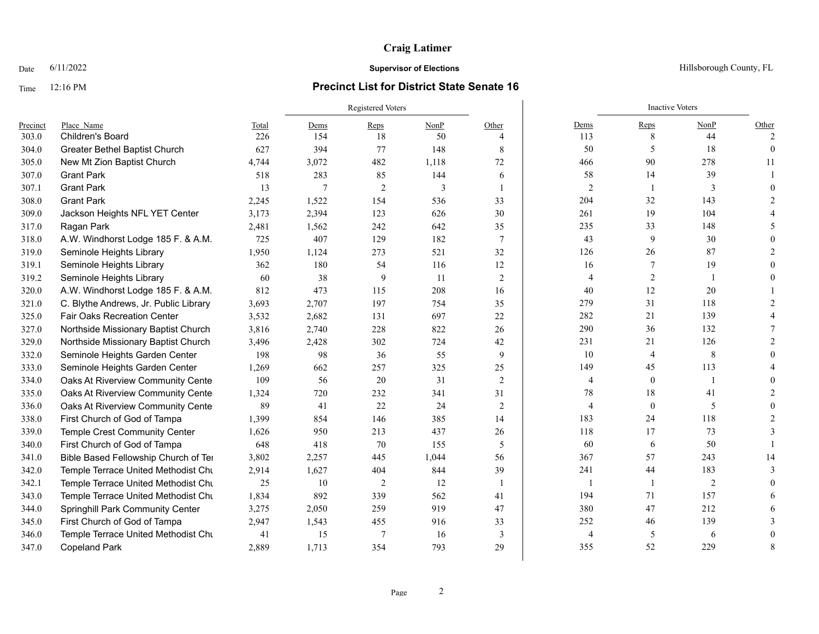# Time 12:16 PM **Precinct List for District State Senate 16**

|          |                                       |       | <b>Registered Voters</b> |                |       |                |                | <b>Inactive Voters</b> |      |                |
|----------|---------------------------------------|-------|--------------------------|----------------|-------|----------------|----------------|------------------------|------|----------------|
| Precinct | Place Name                            | Total | Dems                     | $Reps$         | NonP  | Other          | Dems           | Reps                   | NonP | Other          |
| 303.0    | Children's Board                      | 226   | 154                      | 18             | 50    | 4              | 113            | 8                      | 44   | $\mathfrak{D}$ |
| 304.0    | Greater Bethel Baptist Church         | 627   | 394                      | 77             | 148   | 8              | 50             | 5                      | 18   | $\theta$       |
| 305.0    | New Mt Zion Baptist Church            | 4,744 | 3,072                    | 482            | 1,118 | 72             | 466            | 90                     | 278  | 11             |
| 307.0    | <b>Grant Park</b>                     | 518   | 283                      | 85             | 144   | 6              | 58             | 14                     | 39   |                |
| 307.1    | <b>Grant Park</b>                     | 13    | 7                        | $\overline{2}$ | 3     | 1              | $\mathfrak{2}$ | $\overline{1}$         | 3    |                |
| 308.0    | <b>Grant Park</b>                     | 2,245 | 1,522                    | 154            | 536   | 33             | 204            | 32                     | 143  |                |
| 309.0    | Jackson Heights NFL YET Center        | 3,173 | 2,394                    | 123            | 626   | 30             | 261            | 19                     | 104  |                |
| 317.0    | Ragan Park                            | 2,481 | 1,562                    | 242            | 642   | 35             | 235            | 33                     | 148  |                |
| 318.0    | A.W. Windhorst Lodge 185 F. & A.M.    | 725   | 407                      | 129            | 182   | 7              | 43             | 9                      | 30   |                |
| 319.0    | Seminole Heights Library              | 1,950 | 1,124                    | 273            | 521   | 32             | 126            | 26                     | 87   |                |
| 319.1    | Seminole Heights Library              | 362   | 180                      | 54             | 116   | 12             | 16             | 7                      | 19   |                |
| 319.2    | Seminole Heights Library              | 60    | 38                       | 9              | 11    | $\overline{2}$ | 4              | $\overline{c}$         |      |                |
| 320.0    | A.W. Windhorst Lodge 185 F. & A.M.    | 812   | 473                      | 115            | 208   | 16             | 40             | 12                     | 20   |                |
| 321.0    | C. Blythe Andrews, Jr. Public Library | 3,693 | 2,707                    | 197            | 754   | 35             | 279            | 31                     | 118  |                |
| 325.0    | Fair Oaks Recreation Center           | 3,532 | 2,682                    | 131            | 697   | 22             | 282            | 21                     | 139  |                |
| 327.0    | Northside Missionary Baptist Church   | 3,816 | 2,740                    | 228            | 822   | 26             | 290            | 36                     | 132  |                |
| 329.0    | Northside Missionary Baptist Church   | 3,496 | 2,428                    | 302            | 724   | 42             | 231            | 21                     | 126  |                |
| 332.0    | Seminole Heights Garden Center        | 198   | 98                       | 36             | 55    | 9              | 10             | 4                      | 8    |                |
| 333.0    | Seminole Heights Garden Center        | 1,269 | 662                      | 257            | 325   | 25             | 149            | 45                     | 113  |                |
| 334.0    | Oaks At Riverview Community Cente     | 109   | 56                       | 20             | 31    | $\overline{2}$ | 4              | $\mathbf{0}$           |      |                |
| 335.0    | Oaks At Riverview Community Cente     | 1,324 | 720                      | 232            | 341   | 31             | 78             | 18                     | 41   |                |
| 336.0    | Oaks At Riverview Community Cente     | 89    | 41                       | 22             | 24    | 2              | 4              | $\overline{0}$         | 5    |                |
| 338.0    | First Church of God of Tampa          | 1,399 | 854                      | 146            | 385   | 14             | 183            | 24                     | 118  |                |
| 339.0    | Temple Crest Community Center         | 1,626 | 950                      | 213            | 437   | 26             | 118            | 17                     | 73   |                |
| 340.0    | First Church of God of Tampa          | 648   | 418                      | 70             | 155   | 5              | 60             | 6                      | 50   |                |
| 341.0    | Bible Based Fellowship Church of Ter  | 3,802 | 2,257                    | 445            | 1,044 | 56             | 367            | 57                     | 243  | 14             |
| 342.0    | Temple Terrace United Methodist Chu   | 2,914 | 1,627                    | 404            | 844   | 39             | 241            | 44                     | 183  |                |
| 342.1    | Temple Terrace United Methodist Chu   | 25    | 10                       | 2              | 12    | $\overline{1}$ | $\overline{1}$ | $\overline{1}$         | 2    |                |
| 343.0    | Temple Terrace United Methodist Chu   | 1,834 | 892                      | 339            | 562   | 41             | 194            | 71                     | 157  |                |
| 344.0    | Springhill Park Community Center      | 3,275 | 2,050                    | 259            | 919   | 47             | 380            | 47                     | 212  |                |
| 345.0    | First Church of God of Tampa          | 2,947 | 1,543                    | 455            | 916   | 33             | 252            | 46                     | 139  |                |
| 346.0    | Temple Terrace United Methodist Chu   | 41    | 15                       | $\tau$         | 16    | 3              | $\overline{4}$ | 5                      | 6    |                |
| 347.0    | <b>Copeland Park</b>                  | 2,889 | 1,713                    | 354            | 793   | 29             | 355            | 52                     | 229  | 8              |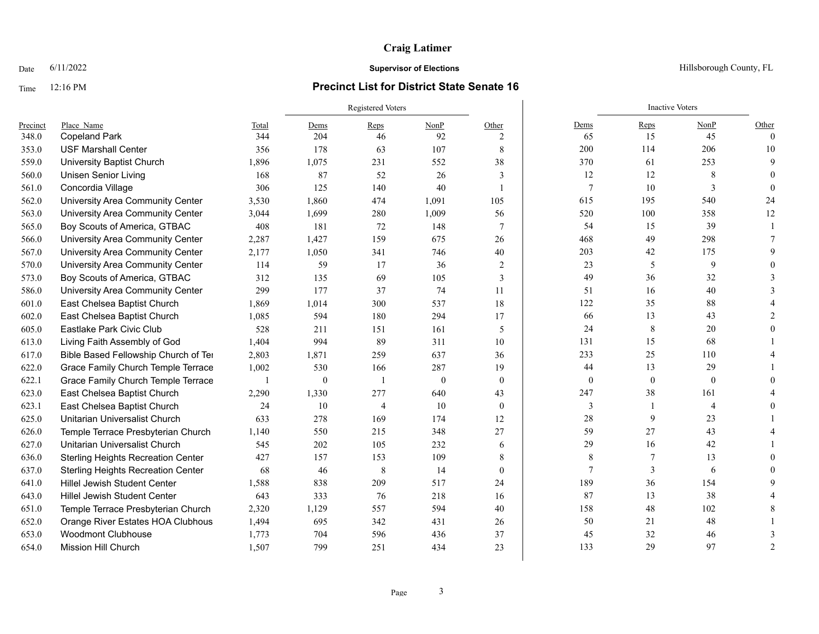### Time 12:16 PM **Precinct List for District State Senate 16**

|          |                                           |       | Registered Voters |                |              |                |                  | <b>Inactive Voters</b> |                |               |
|----------|-------------------------------------------|-------|-------------------|----------------|--------------|----------------|------------------|------------------------|----------------|---------------|
| Precinct | Place Name                                | Total | Dems              | $Reps$         | NonP         | Other          | Dems             | Reps                   | NonP           | Other         |
| 348.0    | <b>Copeland Park</b>                      | 344   | 204               | 46             | 92           | 2              | 65               | 15                     | 45             | $\Omega$      |
| 353.0    | <b>USF Marshall Center</b>                | 356   | 178               | 63             | 107          | 8              | 200              | 114                    | 206            | 10            |
| 559.0    | <b>University Baptist Church</b>          | 1,896 | 1,075             | 231            | 552          | 38             | 370              | 61                     | 253            | 9             |
| 560.0    | <b>Unisen Senior Living</b>               | 168   | 87                | 52             | 26           | 3              | 12               | 12                     | 8              |               |
| 561.0    | Concordia Village                         | 306   | 125               | 140            | 40           |                | 7                | 10                     | 3              |               |
| 562.0    | University Area Community Center          | 3,530 | 1,860             | 474            | 1,091        | 105            | 615              | 195                    | 540            | 24            |
| 563.0    | University Area Community Center          | 3,044 | 1,699             | 280            | 1,009        | 56             | 520              | 100                    | 358            | 12            |
| 565.0    | Boy Scouts of America, GTBAC              | 408   | 181               | 72             | 148          | $\tau$         | 54               | 15                     | 39             |               |
| 566.0    | University Area Community Center          | 2,287 | 1,427             | 159            | 675          | 26             | 468              | 49                     | 298            |               |
| 567.0    | University Area Community Center          | 2,177 | 1,050             | 341            | 746          | 40             | 203              | 42                     | 175            |               |
| 570.0    | University Area Community Center          | 114   | 59                | 17             | 36           | $\overline{c}$ | 23               | 5                      | 9              |               |
| 573.0    | Boy Scouts of America, GTBAC              | 312   | 135               | 69             | 105          | 3              | 49               | 36                     | 32             |               |
| 586.0    | University Area Community Center          | 299   | 177               | 37             | 74           | 11             | 51               | 16                     | 40             |               |
| 601.0    | East Chelsea Baptist Church               | 1,869 | 1,014             | 300            | 537          | 18             | 122              | 35                     | 88             |               |
| 602.0    | East Chelsea Baptist Church               | 1,085 | 594               | 180            | 294          | 17             | 66               | 13                     | 43             |               |
| 605.0    | Eastlake Park Civic Club                  | 528   | 211               | 151            | 161          | 5              | 24               | 8                      | 20             |               |
| 613.0    | Living Faith Assembly of God              | 1,404 | 994               | 89             | 311          | 10             | 131              | 15                     | 68             |               |
| 617.0    | Bible Based Fellowship Church of Ter      | 2,803 | 1,871             | 259            | 637          | 36             | 233              | 25                     | 110            |               |
| 622.0    | Grace Family Church Temple Terrace        | 1,002 | 530               | 166            | 287          | 19             | 44               | 13                     | 29             |               |
| 622.1    | Grace Family Church Temple Terrace        |       | $\theta$          | -1             | $\mathbf{0}$ | $\mathbf{0}$   | $\boldsymbol{0}$ | $\boldsymbol{0}$       | $\theta$       |               |
| 623.0    | East Chelsea Baptist Church               | 2,290 | 1,330             | 277            | 640          | 43             | 247              | 38                     | 161            |               |
| 623.1    | East Chelsea Baptist Church               | 24    | 10                | $\overline{4}$ | 10           | $\mathbf{0}$   | 3                | $\mathbf{1}$           | $\overline{4}$ |               |
| 625.0    | Unitarian Universalist Church             | 633   | 278               | 169            | 174          | 12             | 28               | 9                      | 23             |               |
| 626.0    | Temple Terrace Presbyterian Church        | 1,140 | 550               | 215            | 348          | 27             | 59               | 27                     | 43             |               |
| 627.0    | Unitarian Universalist Church             | 545   | 202               | 105            | 232          | 6              | 29               | 16                     | 42             |               |
| 636.0    | <b>Sterling Heights Recreation Center</b> | 427   | 157               | 153            | 109          | 8              | 8                | 7                      | 13             |               |
| 637.0    | <b>Sterling Heights Recreation Center</b> | 68    | 46                | 8              | 14           | $\theta$       | $\overline{7}$   | 3                      | 6              |               |
| 641.0    | <b>Hillel Jewish Student Center</b>       | 1,588 | 838               | 209            | 517          | 24             | 189              | 36                     | 154            |               |
| 643.0    | <b>Hillel Jewish Student Center</b>       | 643   | 333               | 76             | 218          | 16             | 87               | 13                     | 38             |               |
| 651.0    | Temple Terrace Presbyterian Church        | 2,320 | 1,129             | 557            | 594          | 40             | 158              | 48                     | 102            |               |
| 652.0    | Orange River Estates HOA Clubhous         | 1,494 | 695               | 342            | 431          | 26             | 50               | 21                     | 48             |               |
| 653.0    | <b>Woodmont Clubhouse</b>                 | 1,773 | 704               | 596            | 436          | 37             | 45               | 32                     | 46             |               |
| 654.0    | Mission Hill Church                       | 1,507 | 799               | 251            | 434          | 23             | 133              | 29                     | 97             | $\mathcal{D}$ |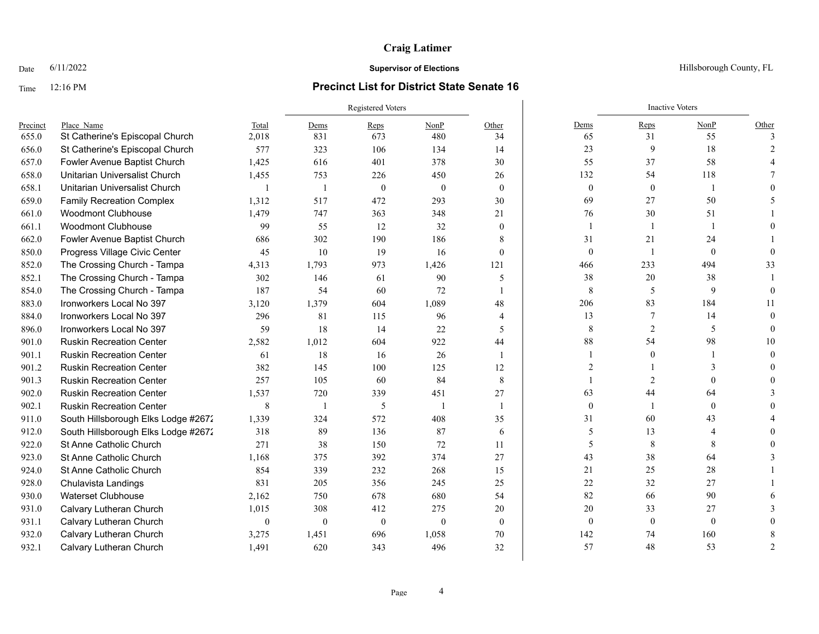### Time 12:16 PM **Precinct List for District State Senate 16**

|          |                                     |                  |                          | <b>Registered Voters</b> |              |              |                | <b>Inactive Voters</b> |              |               |
|----------|-------------------------------------|------------------|--------------------------|--------------------------|--------------|--------------|----------------|------------------------|--------------|---------------|
| Precinct | Place Name                          | Total            | Dems                     | Reps                     | NonP         | Other        | Dems           | Reps                   | NonP         | Other         |
| 655.0    | St Catherine's Episcopal Church     | 2,018            | 831                      | 673                      | 480          | 34           | 65             | 31                     | 55           | $\mathcal{F}$ |
| 656.0    | St Catherine's Episcopal Church     | 577              | 323                      | 106                      | 134          | 14           | 23             | 9                      | 18           |               |
| 657.0    | Fowler Avenue Baptist Church        | 1,425            | 616                      | 401                      | 378          | 30           | 55             | 37                     | 58           |               |
| 658.0    | Unitarian Universalist Church       | 1,455            | 753                      | 226                      | 450          | 26           | 132            | 54                     | 118          |               |
| 658.1    | Unitarian Universalist Church       | $\overline{1}$   | $\overline{1}$           | $\mathbf{0}$             | $\mathbf{0}$ | $\mathbf{0}$ | $\mathbf{0}$   | $\boldsymbol{0}$       | $\mathbf{1}$ |               |
| 659.0    | <b>Family Recreation Complex</b>    | 1,312            | 517                      | 472                      | 293          | 30           | 69             | 27                     | 50           |               |
| 661.0    | <b>Woodmont Clubhouse</b>           | 1,479            | 747                      | 363                      | 348          | 21           | 76             | 30                     | 51           |               |
| 661.1    | <b>Woodmont Clubhouse</b>           | 99               | 55                       | 12                       | 32           | $\theta$     | $\overline{1}$ |                        |              |               |
| 662.0    | Fowler Avenue Baptist Church        | 686              | 302                      | 190                      | 186          | 8            | 31             | 21                     | 24           |               |
| 850.0    | Progress Village Civic Center       | 45               | 10                       | 19                       | 16           | $\mathbf{0}$ | $\mathbf{0}$   |                        | $\mathbf{0}$ |               |
| 852.0    | The Crossing Church - Tampa         | 4,313            | 1,793                    | 973                      | 1,426        | 121          | 466            | 233                    | 494          | 33            |
| 852.1    | The Crossing Church - Tampa         | 302              | 146                      | 61                       | 90           | 5            | 38             | 20                     | 38           |               |
| 854.0    | The Crossing Church - Tampa         | 187              | 54                       | 60                       | 72           |              | 8              | 5                      | 9            |               |
| 883.0    | Ironworkers Local No 397            | 3,120            | 1,379                    | 604                      | 1,089        | 48           | 206            | 83                     | 184          | 11            |
| 884.0    | Ironworkers Local No 397            | 296              | 81                       | 115                      | 96           | 4            | 13             | 7                      | 14           |               |
| 896.0    | Ironworkers Local No 397            | 59               | 18                       | 14                       | 22           | 5            | $\,8\,$        | 2                      | 5            |               |
| 901.0    | <b>Ruskin Recreation Center</b>     | 2,582            | 1,012                    | 604                      | 922          | 44           | $88\,$         | 54                     | 98           | 10            |
| 901.1    | <b>Ruskin Recreation Center</b>     | 61               | 18                       | 16                       | 26           | -1           |                | $\Omega$               |              |               |
| 901.2    | <b>Ruskin Recreation Center</b>     | 382              | 145                      | 100                      | 125          | 12           | $\mathfrak{D}$ |                        |              |               |
| 901.3    | <b>Ruskin Recreation Center</b>     | 257              | 105                      | 60                       | 84           | $\,8\,$      |                |                        |              |               |
| 902.0    | <b>Ruskin Recreation Center</b>     | 1,537            | 720                      | 339                      | 451          | 27           | 63             | 44                     | 64           |               |
| 902.1    | <b>Ruskin Recreation Center</b>     | 8                | $\overline{\phantom{a}}$ | 5                        | - 1          | -1           | $\mathbf{0}$   |                        | $\mathbf{0}$ |               |
| 911.0    | South Hillsborough Elks Lodge #2672 | 1,339            | 324                      | 572                      | 408          | 35           | 31             | 60                     | 43           |               |
| 912.0    | South Hillsborough Elks Lodge #2672 | 318              | 89                       | 136                      | 87           | 6            | 5              | 13                     |              |               |
| 922.0    | St Anne Catholic Church             | 271              | 38                       | 150                      | 72           | 11           | 5              | 8                      | 8            |               |
| 923.0    | St Anne Catholic Church             | 1,168            | 375                      | 392                      | 374          | 27           | 43             | 38                     | 64           |               |
| 924.0    | St Anne Catholic Church             | 854              | 339                      | 232                      | 268          | 15           | $21\,$         | 25                     | 28           |               |
| 928.0    | Chulavista Landings                 | 831              | 205                      | 356                      | 245          | 25           | $22\,$         | 32                     | 27           |               |
| 930.0    | <b>Waterset Clubhouse</b>           | 2,162            | 750                      | 678                      | 680          | 54           | 82             | 66                     | 90           |               |
| 931.0    | Calvary Lutheran Church             | 1,015            | 308                      | 412                      | 275          | 20           | 20             | 33                     | 27           |               |
| 931.1    | Calvary Lutheran Church             | $\boldsymbol{0}$ | $\mathbf{0}$             | $\theta$                 | $\theta$     | $\mathbf{0}$ | $\mathbf{0}$   | $\mathbf{0}$           | $\theta$     |               |
| 932.0    | Calvary Lutheran Church             | 3,275            | 1,451                    | 696                      | 1,058        | 70           | 142            | 74                     | 160          |               |
| 932.1    | Calvary Lutheran Church             | 1,491            | 620                      | 343                      | 496          | 32           | 57             | 48                     | 53           |               |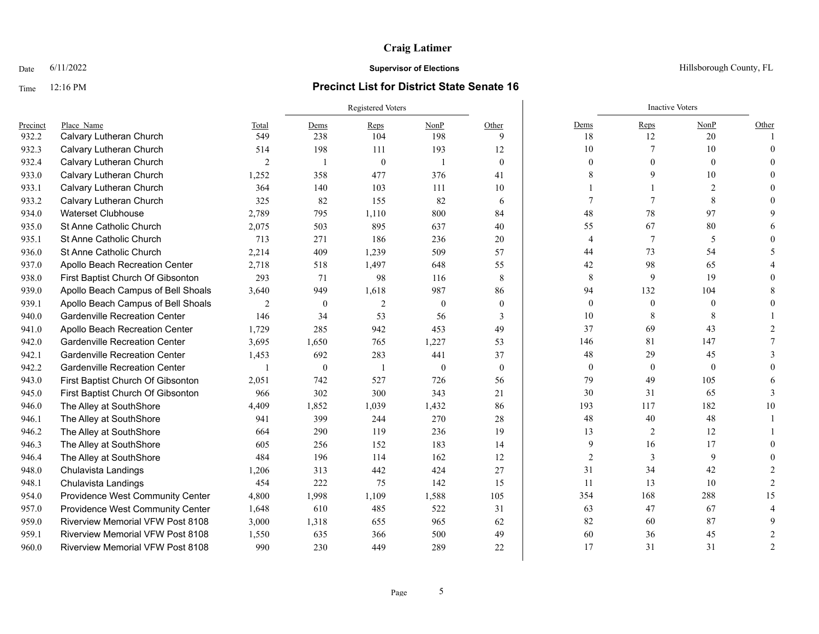### Time 12:16 PM **Precinct List for District State Senate 16**

|          |                                         |                | Registered Voters |          |              |                  |                  | <b>Inactive Voters</b> |                  |               |
|----------|-----------------------------------------|----------------|-------------------|----------|--------------|------------------|------------------|------------------------|------------------|---------------|
| Precinct | Place Name                              | Total          | Dems              | Reps     | NonP         | Other            | Dems             | Reps                   | NonP             | Other         |
| 932.2    | Calvary Lutheran Church                 | 549            | 238               | 104      | 198          | 9                | 18               | 12                     | 20               |               |
| 932.3    | Calvary Lutheran Church                 | 514            | 198               | 111      | 193          | 12               | 10               |                        | 10               | $\Omega$      |
| 932.4    | Calvary Lutheran Church                 | $\overline{2}$ | $\mathbf{1}$      | $\theta$ |              | $\theta$         | $\theta$         | $\Omega$               | $\theta$         |               |
| 933.0    | Calvary Lutheran Church                 | 1,252          | 358               | 477      | 376          | 41               | 8                | 9                      | 10               |               |
| 933.1    | Calvary Lutheran Church                 | 364            | 140               | 103      | 111          | 10               |                  |                        | 2                |               |
| 933.2    | Calvary Lutheran Church                 | 325            | 82                | 155      | 82           | 6                |                  |                        | 8                |               |
| 934.0    | <b>Waterset Clubhouse</b>               | 2,789          | 795               | 1,110    | 800          | 84               | 48               | 78                     | 97               |               |
| 935.0    | St Anne Catholic Church                 | 2,075          | 503               | 895      | 637          | 40               | 55               | 67                     | 80               |               |
| 935.1    | <b>St Anne Catholic Church</b>          | 713            | 271               | 186      | 236          | 20               | $\overline{4}$   | 7                      | 5                |               |
| 936.0    | St Anne Catholic Church                 | 2,214          | 409               | 1,239    | 509          | 57               | 44               | 73                     | 54               |               |
| 937.0    | Apollo Beach Recreation Center          | 2,718          | 518               | 1,497    | 648          | 55               | 42               | 98                     | 65               |               |
| 938.0    | First Baptist Church Of Gibsonton       | 293            | 71                | 98       | 116          | 8                | 8                | 9                      | 19               |               |
| 939.0    | Apollo Beach Campus of Bell Shoals      | 3,640          | 949               | 1,618    | 987          | 86               | 94               | 132                    | 104              |               |
| 939.1    | Apollo Beach Campus of Bell Shoals      | $\overline{2}$ | $\mathbf{0}$      | 2        | $\theta$     | $\theta$         | $\boldsymbol{0}$ | $\mathbf{0}$           | $\mathbf{0}$     |               |
| 940.0    | <b>Gardenville Recreation Center</b>    | 146            | 34                | 53       | 56           | 3                | 10               | 8                      | 8                |               |
| 941.0    | Apollo Beach Recreation Center          | 1,729          | 285               | 942      | 453          | 49               | 37               | 69                     | 43               |               |
| 942.0    | <b>Gardenville Recreation Center</b>    | 3,695          | 1,650             | 765      | 1,227        | 53               | 146              | 81                     | 147              |               |
| 942.1    | <b>Gardenville Recreation Center</b>    | 1,453          | 692               | 283      | 441          | 37               | 48               | 29                     | 45               |               |
| 942.2    | <b>Gardenville Recreation Center</b>    |                | $\boldsymbol{0}$  |          | $\mathbf{0}$ | $\boldsymbol{0}$ | $\boldsymbol{0}$ | $\boldsymbol{0}$       | $\boldsymbol{0}$ |               |
| 943.0    | First Baptist Church Of Gibsonton       | 2,051          | 742               | 527      | 726          | 56               | 79               | 49                     | 105              |               |
| 945.0    | First Baptist Church Of Gibsonton       | 966            | 302               | 300      | 343          | 21               | 30               | 31                     | 65               |               |
| 946.0    | The Alley at SouthShore                 | 4,409          | 1,852             | 1,039    | 1,432        | 86               | 193              | 117                    | 182              | 10            |
| 946.1    | The Alley at SouthShore                 | 941            | 399               | 244      | 270          | 28               | 48               | 40                     | 48               |               |
| 946.2    | The Alley at SouthShore                 | 664            | 290               | 119      | 236          | 19               | 13               | 2                      | 12               |               |
| 946.3    | The Alley at SouthShore                 | 605            | 256               | 152      | 183          | 14               | 9                | 16                     | 17               |               |
| 946.4    | The Alley at SouthShore                 | 484            | 196               | 114      | 162          | 12               | $\overline{2}$   | 3                      | 9                |               |
| 948.0    | Chulavista Landings                     | 1,206          | 313               | 442      | 424          | 27               | 31               | 34                     | 42               |               |
| 948.1    | Chulavista Landings                     | 454            | 222               | 75       | 142          | 15               | 11               | 13                     | 10               |               |
| 954.0    | Providence West Community Center        | 4,800          | 1,998             | 1,109    | 1,588        | 105              | 354              | 168                    | 288              | 15            |
| 957.0    | Providence West Community Center        | 1,648          | 610               | 485      | 522          | 31               | 63               | 47                     | 67               |               |
| 959.0    | <b>Riverview Memorial VFW Post 8108</b> | 3,000          | 1,318             | 655      | 965          | 62               | 82               | 60                     | 87               |               |
| 959.1    | Riverview Memorial VFW Post 8108        | 1,550          | 635               | 366      | 500          | 49               | 60               | 36                     | 45               |               |
| 960.0    | Riverview Memorial VFW Post 8108        | 990            | 230               | 449      | 289          | 22               | 17               | 31                     | 31               | $\mathcal{P}$ |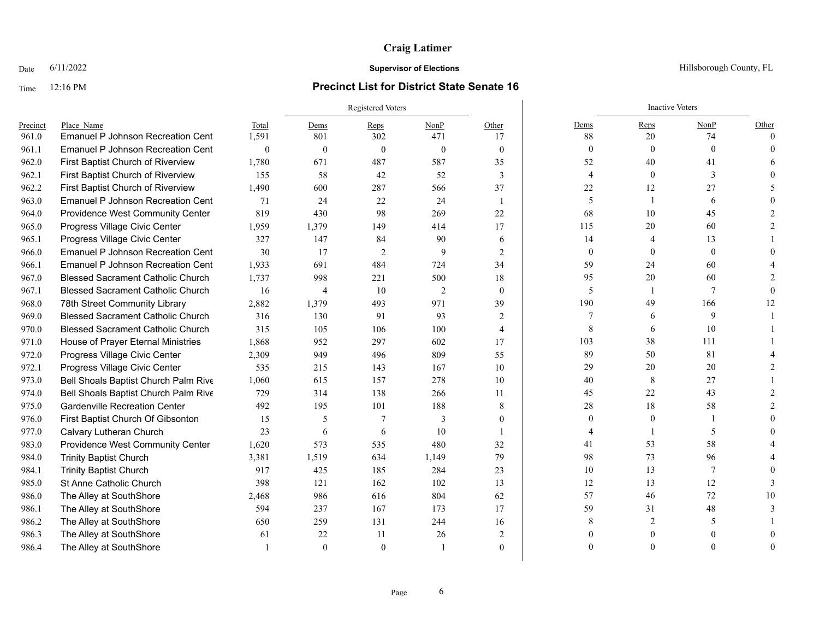# Time 12:16 PM **Precinct List for District State Senate 16**

|          |                                          |              |                | Registered Voters |          |                         |                | <b>Inactive Voters</b> |          |          |  |
|----------|------------------------------------------|--------------|----------------|-------------------|----------|-------------------------|----------------|------------------------|----------|----------|--|
| Precinct | Place Name                               | Total        | Dems           | Reps              | NonP     | Other                   | Dems           | Reps                   | NonP     | Other    |  |
| 961.0    | <b>Emanuel P Johnson Recreation Cent</b> | 1,591        | 801            | 302               | 471      | 17                      | 88             | 20                     | 74       | $\Omega$ |  |
| 961.1    | <b>Emanuel P Johnson Recreation Cent</b> | $\mathbf{0}$ | $\theta$       | $\theta$          | $\theta$ | $\mathbf{0}$            | $\theta$       | $\theta$               | $\Omega$ |          |  |
| 962.0    | First Baptist Church of Riverview        | 1,780        | 671            | 487               | 587      | 35                      | 52             | 40                     | 41       |          |  |
| 962.1    | First Baptist Church of Riverview        | 155          | 58             | 42                | 52       | 3                       | $\overline{4}$ | $\mathbf{0}$           | 3        |          |  |
| 962.2    | First Baptist Church of Riverview        | 1,490        | 600            | 287               | 566      | 37                      | 22             | 12                     | 27       |          |  |
| 963.0    | <b>Emanuel P Johnson Recreation Cent</b> | 71           | 24             | 22                | 24       | $\overline{\mathbf{1}}$ | 5              | -1                     | 6        |          |  |
| 964.0    | Providence West Community Center         | 819          | 430            | 98                | 269      | 22                      | 68             | 10                     | 45       |          |  |
| 965.0    | Progress Village Civic Center            | 1,959        | 1,379          | 149               | 414      | 17                      | 115            | 20                     | 60       |          |  |
| 965.1    | Progress Village Civic Center            | 327          | 147            | 84                | 90       | 6                       | 14             | $\overline{4}$         | 13       |          |  |
| 966.0    | <b>Emanuel P Johnson Recreation Cent</b> | 30           | 17             | 2                 | 9        | $\overline{2}$          | $\mathbf{0}$   | $\theta$               | $\theta$ |          |  |
| 966.1    | <b>Emanuel P Johnson Recreation Cent</b> | 1,933        | 691            | 484               | 724      | 34                      | 59             | 24                     | 60       |          |  |
| 967.0    | <b>Blessed Sacrament Catholic Church</b> | 1,737        | 998            | 221               | 500      | 18                      | 95             | 20                     | 60       |          |  |
| 967.1    | <b>Blessed Sacrament Catholic Church</b> | 16           | $\overline{4}$ | 10                | 2        | $\mathbf{0}$            | 5              | -1                     |          |          |  |
| 968.0    | 78th Street Community Library            | 2,882        | 1,379          | 493               | 971      | 39                      | 190            | 49                     | 166      | 12       |  |
| 969.0    | <b>Blessed Sacrament Catholic Church</b> | 316          | 130            | 91                | 93       | 2                       | 7              | 6                      | 9        |          |  |
| 970.0    | <b>Blessed Sacrament Catholic Church</b> | 315          | 105            | 106               | 100      | $\overline{4}$          | 8              | 6                      | 10       |          |  |
| 971.0    | House of Prayer Eternal Ministries       | 1,868        | 952            | 297               | 602      | 17                      | 103            | 38                     | 111      |          |  |
| 972.0    | Progress Village Civic Center            | 2,309        | 949            | 496               | 809      | 55                      | 89             | 50                     | 81       |          |  |
| 972.1    | Progress Village Civic Center            | 535          | 215            | 143               | 167      | 10                      | 29             | $20\,$                 | 20       |          |  |
| 973.0    | Bell Shoals Baptist Church Palm Rive     | 1,060        | 615            | 157               | 278      | 10                      | 40             | 8                      | 27       |          |  |
| 974.0    | Bell Shoals Baptist Church Palm Rive     | 729          | 314            | 138               | 266      | 11                      | 45             | 22                     | 43       |          |  |
| 975.0    | <b>Gardenville Recreation Center</b>     | 492          | 195            | 101               | 188      | 8                       | 28             | 18                     | 58       |          |  |
| 976.0    | First Baptist Church Of Gibsonton        | 15           | 5              |                   | 3        | $\Omega$                | $\theta$       | $\theta$               |          |          |  |
| 977.0    | Calvary Lutheran Church                  | 23           | 6              | 6                 | 10       |                         |                |                        | 5        |          |  |
| 983.0    | Providence West Community Center         | 1,620        | 573            | 535               | 480      | 32                      | 41             | 53                     | 58       |          |  |
| 984.0    | <b>Trinity Baptist Church</b>            | 3,381        | 1,519          | 634               | 1,149    | 79                      | 98             | 73                     | 96       |          |  |
| 984.1    | <b>Trinity Baptist Church</b>            | 917          | 425            | 185               | 284      | 23                      | $10\,$         | 13                     |          |          |  |
| 985.0    | St Anne Catholic Church                  | 398          | 121            | 162               | 102      | 13                      | 12             | 13                     | 12       |          |  |
| 986.0    | The Alley at SouthShore                  | 2,468        | 986            | 616               | 804      | 62                      | 57             | 46                     | 72       | 10       |  |
| 986.1    | The Alley at SouthShore                  | 594          | 237            | 167               | 173      | 17                      | 59             | 31                     | 48       |          |  |
| 986.2    | The Alley at SouthShore                  | 650          | 259            | 131               | 244      | 16                      |                |                        |          |          |  |
| 986.3    | The Alley at SouthShore                  | 61           | 22             | 11                | 26       | $\overline{c}$          |                |                        |          |          |  |
| 986.4    | The Alley at SouthShore                  |              | $\theta$       | $\Omega$          |          | $\theta$                |                | $\Omega$               |          |          |  |